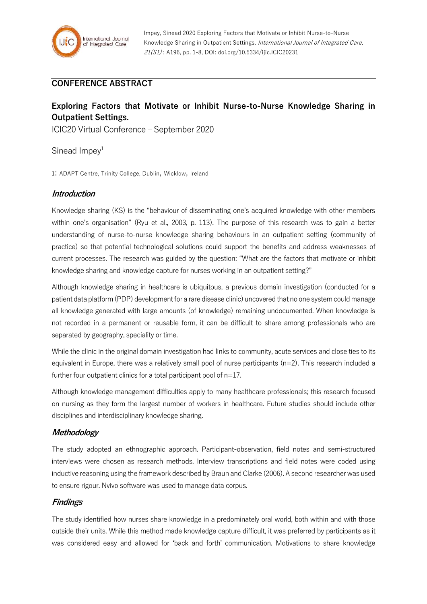## **CONFERENCE ABSTRACT**

# **Exploring Factors that Motivate or Inhibit Nurse-to-Nurse Knowledge Sharing in Outpatient Settings.**

ICIC20 Virtual Conference – September 2020

Sinead Impey $1$ 

1: ADAPT Centre, Trinity College, Dublin, Wicklow, Ireland

### **Introduction**

Knowledge sharing (KS) is the "behaviour of disseminating one's acquired knowledge with other members within one's organisation" (Ryu et al., 2003, p. 113). The purpose of this research was to gain a better understanding of nurse-to-nurse knowledge sharing behaviours in an outpatient setting (community of practice) so that potential technological solutions could support the benefits and address weaknesses of current processes. The research was guided by the question: "What are the factors that motivate or inhibit knowledge sharing and knowledge capture for nurses working in an outpatient setting?"

Although knowledge sharing in healthcare is ubiquitous, a previous domain investigation (conducted for a patient data platform (PDP) development fora rare disease clinic) uncovered that no one system could manage all knowledge generated with large amounts (of knowledge) remaining undocumented. When knowledge is not recorded in a permanent or reusable form, it can be difficult to share among professionals who are separated by geography, speciality or time.

While the clinic in the original domain investigation had links to community, acute services and close ties to its equivalent in Europe, there was a relatively small pool of nurse participants (n=2). This research included a further four outpatient clinics for a total participant pool of n=17.

Although knowledge management difficulties apply to many healthcare professionals; this research focused on nursing as they form the largest number of workers in healthcare. Future studies should include other disciplines and interdisciplinary knowledge sharing.

### **Methodology**

The study adopted an ethnographic approach. Participant-observation, field notes and semi-structured interviews were chosen as research methods. Interview transcriptions and field notes were coded using inductive reasoning using the framework described by Braun and Clarke (2006). A second researcher was used to ensure rigour. Nvivo software was used to manage data corpus.

### **Findings**

The study identified how nurses share knowledge in a predominately oral world, both within and with those outside their units. While this method made knowledge capture difficult, it was preferred by participants as it was considered easy and allowed for 'back and forth' communication. Motivations to share knowledge